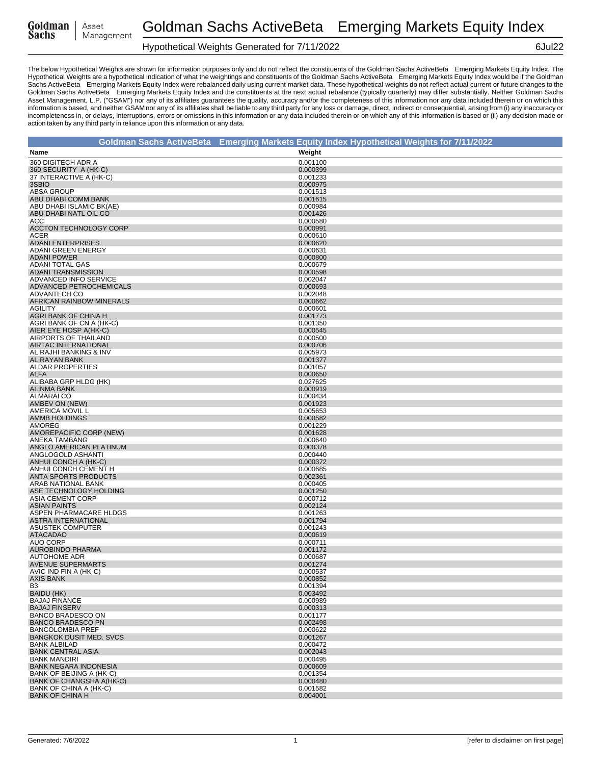| Goldman | Asset      |
|---------|------------|
| Sachs   | Management |

# Hypothetical Weights Generated for 7/11/2022 6Jul22

|                                                             | Goldman Sachs ActiveBeta® Emerging Markets Equity Index Hypothetical Weights for 7/11/2022 |
|-------------------------------------------------------------|--------------------------------------------------------------------------------------------|
| Name                                                        | Weight                                                                                     |
| 360 DIGITECH ADR A                                          | 0.001100                                                                                   |
| 360 SECURITY A (HK-C)                                       | 0.000399                                                                                   |
| 37 INTERACTIVE A (HK-C)                                     | 0.001233                                                                                   |
| 3SBIO                                                       | 0.000975                                                                                   |
| <b>ABSA GROUP</b>                                           | 0.001513                                                                                   |
| ABU DHABI COMM BANK<br>ABU DHABI ISLAMIC BK(AE)             | 0.001615<br>0.000984                                                                       |
| ABU DHABI NATL OIL CO                                       | 0.001426                                                                                   |
| ACC                                                         | 0.000580                                                                                   |
| <b>ACCTON TECHNOLOGY CORP</b>                               | 0.000991                                                                                   |
| ACER                                                        | 0.000610                                                                                   |
| <b>ADANI ENTERPRISES</b>                                    | 0.000620                                                                                   |
| ADANI GREEN ENERGY<br><b>ADANI POWER</b>                    | 0.000631                                                                                   |
| <b>ADANI TOTAL GAS</b>                                      | 0.000800<br>0.000679                                                                       |
| <b>ADANI TRANSMISSION</b>                                   | 0.000598                                                                                   |
| ADVANCED INFO SERVICE                                       | 0.002047                                                                                   |
| ADVANCED PETROCHEMICALS                                     | 0.000693                                                                                   |
| ADVANTECH CO                                                | 0.002048                                                                                   |
| AFRICAN RAINBOW MINERALS                                    | 0.000662                                                                                   |
| <b>AGILITY</b><br>AGRI BANK OF CHINA H                      | 0.000601<br>0.001773                                                                       |
| AGRI BANK OF CN A (HK-C)                                    | 0.001350                                                                                   |
| AIER EYE HOSP A(HK-C)                                       | 0.000545                                                                                   |
| AIRPORTS OF THAILAND                                        | 0.000500                                                                                   |
| AIRTAC INTERNATIONAL                                        | 0.000706                                                                                   |
| AL RAJHI BANKING & INV                                      | 0.005973                                                                                   |
| AL RAYAN BANK<br><b>ALDAR PROPERTIES</b>                    | 0.001377                                                                                   |
| <b>ALFA</b>                                                 | 0.001057<br>0.000650                                                                       |
| ALIBABA GRP HLDG (HK)                                       | 0.027625                                                                                   |
| <b>ALINMA BANK</b>                                          | 0.000919                                                                                   |
| <b>ALMARAI CO</b>                                           | 0.000434                                                                                   |
| AMBEV ON (NEW)                                              | 0.001923                                                                                   |
| AMERICA MOVIL L                                             | 0.005653                                                                                   |
| AMMB HOLDINGS<br>AMOREG                                     | 0.000582<br>0.001229                                                                       |
| AMOREPACIFIC CORP (NEW)                                     | 0.001628                                                                                   |
| ANEKA TAMBANG                                               | 0.000640                                                                                   |
| ANGLO AMERICAN PLATINUM                                     | 0.000378                                                                                   |
| ANGLOGOLD ASHANTI                                           | 0.000440                                                                                   |
| ANHUI CONCH A (HK-C)                                        | 0.000372                                                                                   |
| ANHUI CONCH CEMENT H<br>ANTA SPORTS PRODUCTS                | 0.000685<br>0.002361                                                                       |
| ARAB NATIONAL BANK                                          | 0.000405                                                                                   |
| ASE TECHNOLOGY HOLDING                                      | 0.001250                                                                                   |
| <b>ASIA CEMENT CORP</b>                                     | 0.000712                                                                                   |
| <b>ASIAN PAINTS</b>                                         | 0.002124                                                                                   |
| ASPEN PHARMACARE HLDGS<br><b>ASTRA INTERNATIONAL</b>        | 0.001263                                                                                   |
| <b>ASUSTEK COMPUTER</b>                                     | 0.001794<br>0.001243                                                                       |
| <b>ATACADAO</b>                                             | 0.000619                                                                                   |
| <b>AUO CORP</b>                                             | 0.000711                                                                                   |
| <b>AUROBINDO PHARMA</b>                                     | 0.001172                                                                                   |
| <b>AUTOHOME ADR</b>                                         | 0.000687                                                                                   |
| <b>AVENUE SUPERMARTS</b><br>AVIC IND FIN A (HK-C)           | 0.001274                                                                                   |
| <b>AXIS BANK</b>                                            | 0.000537<br>0.000852                                                                       |
| B3                                                          | 0.001394                                                                                   |
| BAIDU (HK)                                                  | 0.003492                                                                                   |
| <b>BAJAJ FINANCE</b>                                        | 0.000989                                                                                   |
| <b>BAJAJ FINSERV</b>                                        | 0.000313                                                                                   |
| <b>BANCO BRADESCO ON</b>                                    | 0.001177                                                                                   |
| <b>BANCO BRADESCO PN</b><br><b>BANCOLOMBIA PREF</b>         | 0.002498<br>0.000622                                                                       |
| <b>BANGKOK DUSIT MED. SVCS</b>                              | 0.001267                                                                                   |
| <b>BANK ALBILAD</b>                                         | 0.000472                                                                                   |
| <b>BANK CENTRAL ASIA</b>                                    | 0.002043                                                                                   |
| <b>BANK MANDIRI</b>                                         | 0.000495                                                                                   |
| <b>BANK NEGARA INDONESIA</b>                                | 0.000609                                                                                   |
| BANK OF BEIJING A (HK-C)<br><b>BANK OF CHANGSHA A(HK-C)</b> | 0.001354<br>0.000480                                                                       |
| BANK OF CHINA A (HK-C)                                      | 0.001582                                                                                   |
| <b>BANK OF CHINA H</b>                                      | 0.004001                                                                                   |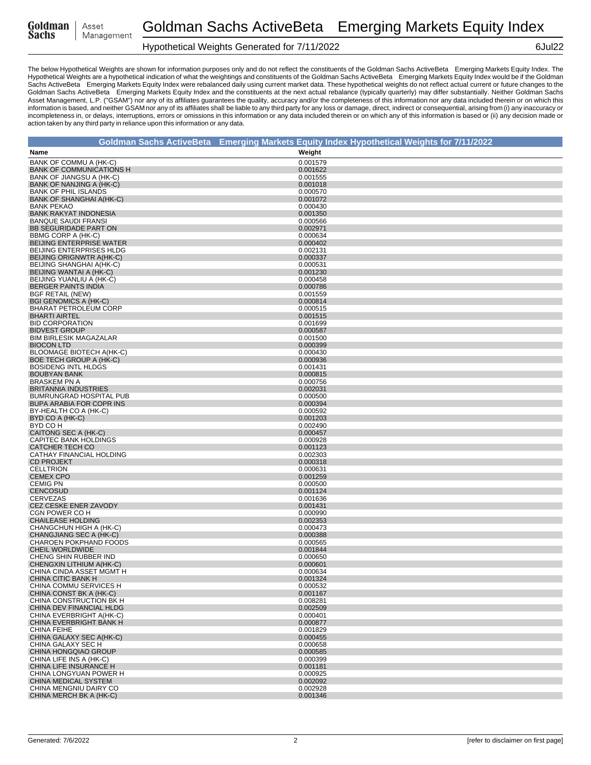| Goldman | Asset      |
|---------|------------|
| Sachs   | Management |

# Hypothetical Weights Generated for 7/11/2022 6Jul22

|                                                             | Goldman Sachs ActiveBeta® Emerging Markets Equity Index Hypothetical Weights for 7/11/2022 |
|-------------------------------------------------------------|--------------------------------------------------------------------------------------------|
| Name                                                        | Weight                                                                                     |
| BANK OF COMMU A (HK-C)                                      | 0.001579                                                                                   |
| <b>BANK OF COMMUNICATIONS H</b>                             | 0.001622                                                                                   |
| BANK OF JIANGSU A (HK-C)                                    | 0.001555                                                                                   |
| BANK OF NANJING A (HK-C)                                    | 0.001018                                                                                   |
| <b>BANK OF PHIL ISLANDS</b><br>BANK OF SHANGHAI A(HK-C)     | 0.000570<br>0.001072                                                                       |
| <b>BANK PEKAO</b>                                           | 0.000430                                                                                   |
| <b>BANK RAKYAT INDONESIA</b>                                | 0.001350                                                                                   |
| <b>BANQUE SAUDI FRANSI</b>                                  | 0.000566                                                                                   |
| BB SEGURIDADE PART ON                                       | 0.002971                                                                                   |
| BBMG CORP A (HK-C)                                          | 0.000634                                                                                   |
| <b>BEIJING ENTERPRISE WATER</b><br>BEIJING ENTERPRISES HLDG | 0.000402<br>0.002131                                                                       |
| BEIJING ORIGNWTR A(HK-C)                                    | 0.000337                                                                                   |
| BEIJING SHANGHAI A(HK-C)                                    | 0.000531                                                                                   |
| BEIJING WANTAI A (HK-C)                                     | 0.001230                                                                                   |
| BEIJING YUANLIU A (HK-C)                                    | 0.000458                                                                                   |
| <b>BERGER PAINTS INDIA</b><br><b>BGF RETAIL (NEW)</b>       | 0.000786<br>0.001559                                                                       |
| <b>BGI GENOMICS A (HK-C)</b>                                | 0.000814                                                                                   |
| BHARAT PETROLEUM CORP                                       | 0.000515                                                                                   |
| <b>BHARTI AIRTEL</b>                                        | 0.001515                                                                                   |
| <b>BID CORPORATION</b>                                      | 0.001699                                                                                   |
| <b>BIDVEST GROUP</b>                                        | 0.000587                                                                                   |
| <b>BIM BIRLESIK MAGAZALAR</b><br><b>BIOCON LTD</b>          | 0.001500<br>0.000399                                                                       |
| <b>BLOOMAGE BIOTECH A(HK-C)</b>                             | 0.000430                                                                                   |
| BOE TECH GROUP A (HK-C)                                     | 0.000936                                                                                   |
| <b>BOSIDENG INTL HLDGS</b>                                  | 0.001431                                                                                   |
| <b>BOUBYAN BANK</b>                                         | 0.000815                                                                                   |
| <b>BRASKEM PN A</b>                                         | 0.000756                                                                                   |
| <b>BRITANNIA INDUSTRIES</b><br>BUMRUNGRAD HOSPITAL PUB      | 0.002031<br>0.000500                                                                       |
| BUPA ARABIA FOR COPR INS                                    | 0.000394                                                                                   |
| BY-HEALTH CO A (HK-C)                                       | 0.000592                                                                                   |
| BYD CO A (HK-C)                                             | 0.001203                                                                                   |
| BYD CO H                                                    | 0.002490                                                                                   |
| CAITONG SEC A (HK-C)<br>CAPITEC BANK HOLDINGS               | 0.000457                                                                                   |
| CATCHER TECH CO                                             | 0.000928<br>0.001123                                                                       |
| CATHAY FINANCIAL HOLDING                                    | 0.002303                                                                                   |
| <b>CD PROJEKT</b>                                           | 0.000318                                                                                   |
| <b>CELLTRION</b>                                            | 0.000631                                                                                   |
| <b>CEMEX CPO</b>                                            | 0.001259                                                                                   |
| <b>CEMIG PN</b><br><b>CENCOSUD</b>                          | 0.000500<br>0.001124                                                                       |
| <b>CERVEZAS</b>                                             | 0.001636                                                                                   |
| CEZ CESKE ENER ZAVODY                                       | 0.001431                                                                                   |
| CGN POWER CO H                                              | 0.000990                                                                                   |
| <b>CHAILEASE HOLDING</b>                                    | 0.002353                                                                                   |
| CHANGCHUN HIGH A (HK-C)<br>CHANGJIANG SEC A (HK-C)          | 0.000473                                                                                   |
| CHAROEN POKPHAND FOODS                                      | 0.000388<br>0.000565                                                                       |
| <b>CHEIL WORLDWIDE</b>                                      | 0.001844                                                                                   |
| CHENG SHIN RUBBER IND                                       | 0.000650                                                                                   |
| CHENGXIN LITHIUM A(HK-C)                                    | 0.000601                                                                                   |
| CHINA CINDA ASSET MGMT H                                    | 0.000634                                                                                   |
| CHINA CITIC BANK H<br>CHINA COMMU SERVICES H                | 0.001324<br>0.000532                                                                       |
| CHINA CONST BK A (HK-C)                                     | 0.001167                                                                                   |
| CHINA CONSTRUCTION BK H                                     | 0.008281                                                                                   |
| CHINA DEV FINANCIAL HLDG                                    | 0.002509                                                                                   |
| CHINA EVERBRIGHT A(HK-C)                                    | 0.000401                                                                                   |
| CHINA EVERBRIGHT BANK H<br>CHINA FEIHE                      | 0.000877<br>0.001829                                                                       |
| CHINA GALAXY SEC A(HK-C)                                    | 0.000455                                                                                   |
| CHINA GALAXY SEC H                                          | 0.000658                                                                                   |
| <b>CHINA HONGQIAO GROUP</b>                                 | 0.000585                                                                                   |
| CHINA LIFE INS A (HK-C)                                     | 0.000399                                                                                   |
| CHINA LIFE INSURANCE H                                      | 0.001181                                                                                   |
| CHINA LONGYUAN POWER H<br>CHINA MEDICAL SYSTEM              | 0.000925<br>0.002092                                                                       |
| CHINA MENGNIU DAIRY CO                                      | 0.002928                                                                                   |
| CHINA MERCH BK A (HK-C)                                     | 0.001346                                                                                   |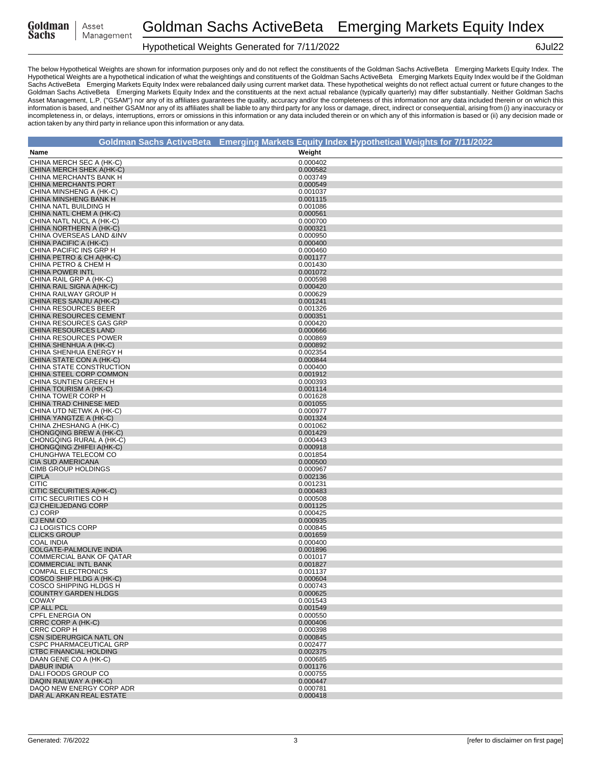| Goldman |  |
|---------|--|
| Sachs   |  |

# Hypothetical Weights Generated for 7/11/2022 6Jul22

|                                                         | Goldman Sachs ActiveBeta® Emerging Markets Equity Index Hypothetical Weights for 7/11/2022 |
|---------------------------------------------------------|--------------------------------------------------------------------------------------------|
| Name                                                    | Weight                                                                                     |
| CHINA MERCH SEC A (HK-C)                                | 0.000402                                                                                   |
| CHINA MERCH SHEK A(HK-C)                                | 0.000582                                                                                   |
| CHINA MERCHANTS BANK H                                  | 0.003749                                                                                   |
| <b>CHINA MERCHANTS PORT</b><br>CHINA MINSHENG A (HK-C)  | 0.000549<br>0.001037                                                                       |
| CHINA MINSHENG BANK H                                   | 0.001115                                                                                   |
| CHINA NATL BUILDING H                                   | 0.001086                                                                                   |
| CHINA NATL CHEM A (HK-C)                                | 0.000561                                                                                   |
| CHINA NATL NUCL A (HK-C)<br>CHINA NORTHERN A (HK-C)     | 0.000700<br>0.000321                                                                       |
| CHINA OVERSEAS LAND &INV                                | 0.000950                                                                                   |
| CHINA PACIFIC A (HK-C)                                  | 0.000400                                                                                   |
| CHINA PACIFIC INS GRP H                                 | 0.000460                                                                                   |
| CHINA PETRO & CH A(HK-C)<br>CHINA PETRO & CHEM H        | 0.001177<br>0.001430                                                                       |
| <b>CHINA POWER INTL</b>                                 | 0.001072                                                                                   |
| CHINA RAIL GRP A (HK-C)                                 | 0.000598                                                                                   |
| CHINA RAIL SIGNA A(HK-C)                                | 0.000420                                                                                   |
| CHINA RAILWAY GROUP H                                   | 0.000629                                                                                   |
| CHINA RES SANJIU A(HK-C)<br><b>CHINA RESOURCES BEER</b> | 0.001241<br>0.001326                                                                       |
| <b>CHINA RESOURCES CEMENT</b>                           | 0.000351                                                                                   |
| CHINA RESOURCES GAS GRP                                 | 0.000420                                                                                   |
| CHINA RESOURCES LAND                                    | 0.000666                                                                                   |
| CHINA RESOURCES POWER<br>CHINA SHENHUA A (HK-C)         | 0.000869<br>0.000892                                                                       |
| CHINA SHENHUA ENERGY H                                  | 0.002354                                                                                   |
| CHINA STATE CON A (HK-C)                                | 0.000844                                                                                   |
| CHINA STATE CONSTRUCTION                                | 0.000400                                                                                   |
| CHINA STEEL CORP COMMON                                 | 0.001912                                                                                   |
| CHINA SUNTIEN GREEN H<br>CHINA TOURISM A (HK-C)         | 0.000393<br>0.001114                                                                       |
| CHINA TOWER CORP H                                      | 0.001628                                                                                   |
| CHINA TRAD CHINESE MED                                  | 0.001055                                                                                   |
| CHINA UTD NETWK A (HK-C)                                | 0.000977                                                                                   |
| CHINA YANGTZE A (HK-C)                                  | 0.001324                                                                                   |
| CHINA ZHESHANG A (HK-C)<br>CHONGQING BREW A (HK-C)      | 0.001062<br>0.001429                                                                       |
| CHONGQING RURAL A (HK-C)                                | 0.000443                                                                                   |
| CHONGQING ZHIFEI A(HK-C)                                | 0.000918                                                                                   |
| CHUNGHWA TELECOM CO                                     | 0.001854                                                                                   |
| <b>CIA SUD AMERICANA</b><br><b>CIMB GROUP HOLDINGS</b>  | 0.000500<br>0.000967                                                                       |
| <b>CIPLA</b>                                            | 0.002136                                                                                   |
| <b>CITIC</b>                                            | 0.001231                                                                                   |
| CITIC SECURITIES A(HK-C)                                | 0.000483                                                                                   |
| CITIC SECURITIES CO H                                   | 0.000508                                                                                   |
| CJ CHEILJEDANG CORP<br><b>CJ CORP</b>                   | 0.001125<br>0.000425                                                                       |
| CJ ENM CO                                               | 0.000935                                                                                   |
| CJ LOGISTICS CORP                                       | 0.000845                                                                                   |
| <b>CLICKS GROUP</b>                                     | 0.001659                                                                                   |
| <b>COAL INDIA</b><br><b>COLGATE-PALMOLIVE INDIA</b>     | 0.000400<br>0.001896                                                                       |
| <b>COMMERCIAL BANK OF QATAR</b>                         | 0.001017                                                                                   |
| <b>COMMERCIAL INTL BANK</b>                             | 0.001827                                                                                   |
| COMPAL ELECTRONICS                                      | 0.001137                                                                                   |
| COSCO SHIP HLDG A (HK-C)                                | 0.000604                                                                                   |
| COSCO SHIPPING HLDGS H<br><b>COUNTRY GARDEN HLDGS</b>   | 0.000743<br>0.000625                                                                       |
| <b>COWAY</b>                                            | 0.001543                                                                                   |
| CP ALL PCL                                              | 0.001549                                                                                   |
| CPFL ENERGIA ON                                         | 0.000550                                                                                   |
| CRRC CORP A (HK-C)<br><b>CRRC CORP H</b>                | 0.000406<br>0.000398                                                                       |
| CSN SIDERURGICA NATL ON                                 | 0.000845                                                                                   |
| <b>CSPC PHARMACEUTICAL GRP</b>                          | 0.002477                                                                                   |
| CTBC FINANCIAL HOLDING                                  | 0.002375                                                                                   |
| DAAN GENE CO A (HK-C)                                   | 0.000685                                                                                   |
| <b>DABUR INDIA</b><br>DALI FOODS GROUP CO               | 0.001176<br>0.000755                                                                       |
| DAQIN RAILWAY A (HK-C)                                  | 0.000447                                                                                   |
| DAQO NEW ENERGY CORP ADR                                | 0.000781                                                                                   |
| DAR AL ARKAN REAL ESTATE                                | 0.000418                                                                                   |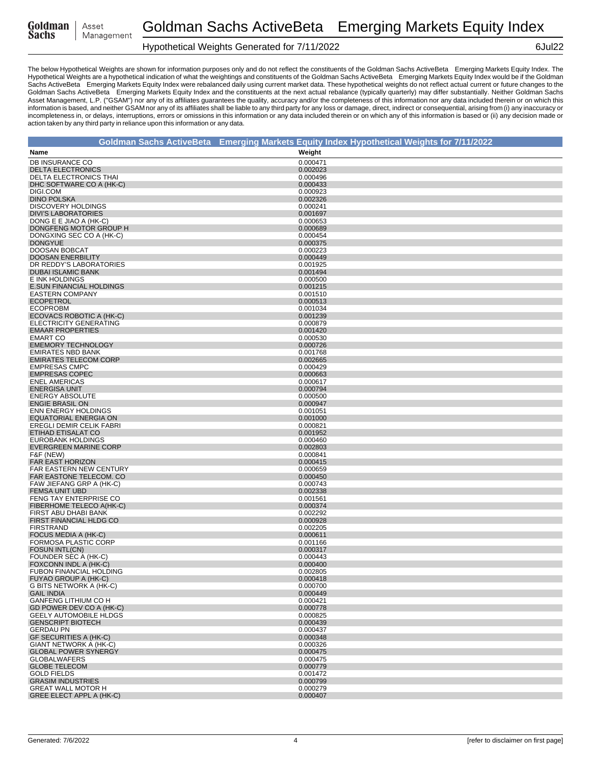| Goldman |  |
|---------|--|
| Sachs   |  |

# Hypothetical Weights Generated for 7/11/2022 6Jul22

|                                                           | Goldman Sachs ActiveBeta® Emerging Markets Equity Index Hypothetical Weights for 7/11/2022 |
|-----------------------------------------------------------|--------------------------------------------------------------------------------------------|
| Name                                                      | Weight                                                                                     |
| <b>DB INSURANCE CO</b>                                    | 0.000471                                                                                   |
| <b>DELTA ELECTRONICS</b>                                  | 0.002023                                                                                   |
| <b>DELTA ELECTRONICS THAI</b>                             | 0.000496                                                                                   |
| DHC SOFTWARE CO A (HK-C)                                  | 0.000433                                                                                   |
| DIGI.COM<br><b>DINO POLSKA</b>                            | 0.000923                                                                                   |
| <b>DISCOVERY HOLDINGS</b>                                 | 0.002326<br>0.000241                                                                       |
| <b>DIVI'S LABORATORIES</b>                                | 0.001697                                                                                   |
| DONG E E JIAO A (HK-C)                                    | 0.000653                                                                                   |
| DONGFENG MOTOR GROUP H                                    | 0.000689                                                                                   |
| DONGXING SEC CO A (HK-C)                                  | 0.000454                                                                                   |
| <b>DONGYUE</b><br>DOOSAN BOBCAT                           | 0.000375<br>0.000223                                                                       |
| <b>DOOSAN ENERBILITY</b>                                  | 0.000449                                                                                   |
| DR REDDY'S LABORATORIES                                   | 0.001925                                                                                   |
| <b>DUBAI ISLAMIC BANK</b>                                 | 0.001494                                                                                   |
| E INK HOLDINGS                                            | 0.000500                                                                                   |
| <b>E.SUN FINANCIAL HOLDINGS</b><br><b>EASTERN COMPANY</b> | 0.001215                                                                                   |
| <b>ECOPETROL</b>                                          | 0.001510<br>0.000513                                                                       |
| <b>ECOPROBM</b>                                           | 0.001034                                                                                   |
| ECOVACS ROBOTIC A (HK-C)                                  | 0.001239                                                                                   |
| ELECTRICITY GENERATING                                    | 0.000879                                                                                   |
| <b>EMAAR PROPERTIES</b>                                   | 0.001420                                                                                   |
| <b>EMART CO</b><br><b>EMEMORY TECHNOLOGY</b>              | 0.000530<br>0.000726                                                                       |
| <b>EMIRATES NBD BANK</b>                                  | 0.001768                                                                                   |
| <b>EMIRATES TELECOM CORP</b>                              | 0.002665                                                                                   |
| <b>EMPRESAS CMPC</b>                                      | 0.000429                                                                                   |
| <b>EMPRESAS COPEC</b>                                     | 0.000663                                                                                   |
| <b>ENEL AMERICAS</b>                                      | 0.000617                                                                                   |
| <b>ENERGISA UNIT</b>                                      | 0.000794                                                                                   |
| <b>ENERGY ABSOLUTE</b><br><b>ENGIE BRASIL ON</b>          | 0.000500<br>0.000947                                                                       |
| <b>ENN ENERGY HOLDINGS</b>                                | 0.001051                                                                                   |
| EQUATORIAL ENERGIA ON                                     | 0.001000                                                                                   |
| EREGLI DEMIR CELIK FABRI                                  | 0.000821                                                                                   |
| ETIHAD ETISALAT CO                                        | 0.001952                                                                                   |
| <b>EUROBANK HOLDINGS</b><br><b>EVERGREEN MARINE CORP</b>  | 0.000460<br>0.002803                                                                       |
| F&F (NEW)                                                 | 0.000841                                                                                   |
| <b>FAR EAST HORIZON</b>                                   | 0.000415                                                                                   |
| FAR EASTERN NEW CENTURY                                   | 0.000659                                                                                   |
| FAR EASTONE TELECOM. CO                                   | 0.000450                                                                                   |
| FAW JIEFANG GRP A (HK-C)                                  | 0.000743                                                                                   |
| <b>FEMSA UNIT UBD</b><br>FENG TAY ENTERPRISE CO           | 0.002338<br>0.001561                                                                       |
| FIBERHOME TELECO A(HK-C)                                  | 0.000374                                                                                   |
| FIRST ABU DHABI BANK                                      | 0.002292                                                                                   |
| FIRST FINANCIAL HLDG CO                                   | 0.000928                                                                                   |
| <b>FIRSTRAND</b>                                          | 0.002205                                                                                   |
| FOCUS MEDIA A (HK-C)<br>FORMOSA PLASTIC CORP              | 0.000611<br>0.001166                                                                       |
| FOSUN INTL(CN)                                            | 0.000317                                                                                   |
| FOUNDER SEC A (HK-C)                                      | 0.000443                                                                                   |
| FOXCONN INDL A (HK-C)                                     | 0.000400                                                                                   |
| FUBON FINANCIAL HOLDING                                   | 0.002805                                                                                   |
| FUYAO GROUP A (HK-C)                                      | 0.000418                                                                                   |
| G BITS NETWORK A (HK-C)<br><b>GAIL INDIA</b>              | 0.000700<br>0.000449                                                                       |
| <b>GANFENG LITHIUM CO H</b>                               | 0.000421                                                                                   |
| GD POWER DEV CO A (HK-C)                                  | 0.000778                                                                                   |
| <b>GEELY AUTOMOBILE HLDGS</b>                             | 0.000825                                                                                   |
| <b>GENSCRIPT BIOTECH</b>                                  | 0.000439                                                                                   |
| <b>GERDAU PN</b><br>GF SECURITIES A (HK-C)                | 0.000437<br>0.000348                                                                       |
| GIANT NETWORK A (HK-C)                                    | 0.000326                                                                                   |
| <b>GLOBAL POWER SYNERGY</b>                               | 0.000475                                                                                   |
| <b>GLOBALWAFERS</b>                                       | 0.000475                                                                                   |
| <b>GLOBE TELECOM</b>                                      | 0.000779                                                                                   |
| <b>GOLD FIELDS</b>                                        | 0.001472                                                                                   |
| <b>GRASIM INDUSTRIES</b><br><b>GREAT WALL MOTOR H</b>     | 0.000799<br>0.000279                                                                       |
| GREE ELECT APPL A (HK-C)                                  | 0.000407                                                                                   |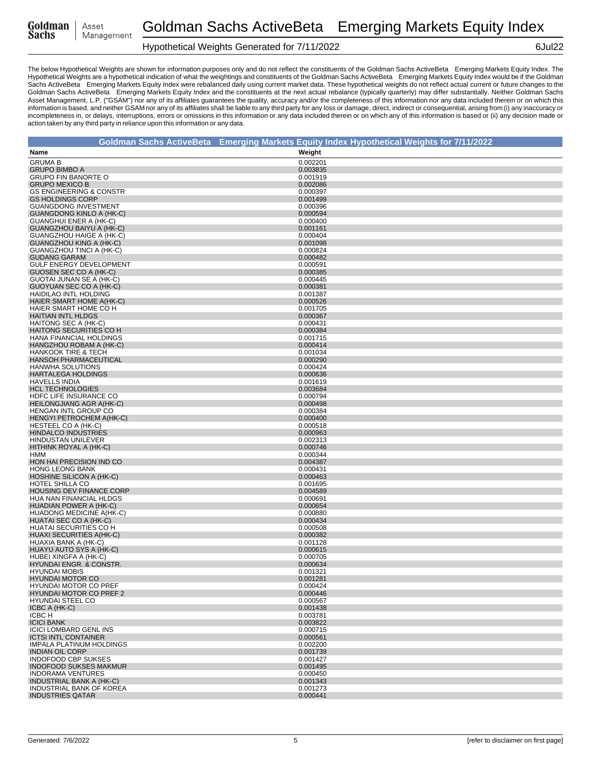| Goldman | Asset      |
|---------|------------|
| Sachs   | Management |

# Hypothetical Weights Generated for 7/11/2022 6Jul22

|                                                               | Goldman Sachs ActiveBeta® Emerging Markets Equity Index Hypothetical Weights for 7/11/2022 |
|---------------------------------------------------------------|--------------------------------------------------------------------------------------------|
| Name                                                          | Weight                                                                                     |
| <b>GRUMA B</b>                                                | 0.002201                                                                                   |
| <b>GRUPO BIMBO A</b>                                          | 0.003835                                                                                   |
| <b>GRUPO FIN BANORTE O</b>                                    | 0.001919                                                                                   |
| <b>GRUPO MEXICO B</b>                                         | 0.002086                                                                                   |
| <b>GS ENGINEERING &amp; CONSTR</b><br><b>GS HOLDINGS CORP</b> | 0.000397<br>0.001499                                                                       |
| <b>GUANGDONG INVESTMENT</b>                                   | 0.000396                                                                                   |
| <b>GUANGDONG KINLO A (HK-C)</b>                               | 0.000594                                                                                   |
| <b>GUANGHUI ENER A (HK-C)</b>                                 | 0.000400                                                                                   |
| GUANGZHOU BAIYU A (HK-C)                                      | 0.001161                                                                                   |
| GUANGZHOU HAIGE A (HK-C)                                      | 0.000404<br>0.001098                                                                       |
| <b>GUANGZHOU KING A (HK-C)</b><br>GUANGZHOU TINCI A (HK-C)    | 0.000824                                                                                   |
| <b>GUDANG GARAM</b>                                           | 0.000482                                                                                   |
| GULF ENERGY DEVELOPMENT                                       | 0.000591                                                                                   |
| GUOSEN SEC CO A (HK-C)                                        | 0.000385                                                                                   |
| GUOTAI JUNAN SE A (HK-C)                                      | 0.000445                                                                                   |
| GUOYUAN SEC CO A (HK-C)<br>HAIDILAO INTL HOLDING              | 0.000381<br>0.001387                                                                       |
| HAIER SMART HOME A(HK-C)                                      | 0.000526                                                                                   |
| HAIER SMART HOME CO H                                         | 0.001705                                                                                   |
| <b>HAITIAN INTL HLDGS</b>                                     | 0.000367                                                                                   |
| HAITONG SEC A (HK-C)                                          | 0.000431                                                                                   |
| <b>HAITONG SECURITIES CO H</b>                                | 0.000384<br>0.001715                                                                       |
| HANA FINANCIAL HOLDINGS<br>HANGZHOU ROBAM A (HK-C)            | 0.000414                                                                                   |
| <b>HANKOOK TIRE &amp; TECH</b>                                | 0.001034                                                                                   |
| <b>HANSOH PHARMACEUTICAL</b>                                  | 0.000290                                                                                   |
| <b>HANWHA SOLUTIONS</b>                                       | 0.000424                                                                                   |
| <b>HARTALEGA HOLDINGS</b>                                     | 0.000636                                                                                   |
| <b>HAVELLS INDIA</b><br><b>HCL TECHNOLOGIES</b>               | 0.001619<br>0.003684                                                                       |
| HDFC LIFE INSURANCE CO                                        | 0.000794                                                                                   |
| <b>HEILONGJIANG AGR A(HK-C)</b>                               | 0.000498                                                                                   |
| HENGAN INTL GROUP CO                                          | 0.000384                                                                                   |
| HENGYI PETROCHEM A(HK-C)                                      | 0.000400                                                                                   |
| HESTEEL CO A (HK-C)                                           | 0.000518                                                                                   |
| <b>HINDALCO INDUSTRIES</b><br><b>HINDUSTAN UNILEVER</b>       | 0.000963<br>0.002313                                                                       |
| HITHINK ROYAL A (HK-C)                                        | 0.000746                                                                                   |
| HMM                                                           | 0.000344                                                                                   |
| HON HAI PRECISION IND CO                                      | 0.004387                                                                                   |
| HONG LEONG BANK                                               | 0.000431                                                                                   |
| HOSHINE SILICON A (HK-C)<br>HOTEL SHILLA CO                   | 0.000463<br>0.001695                                                                       |
| <b>HOUSING DEV FINANCE CORP</b>                               | 0.004589                                                                                   |
| HUA NAN FINANCIAL HLDGS                                       | 0.000691                                                                                   |
| HUADIAN POWER A (HK-C)                                        | 0.000654                                                                                   |
| HUADONG MEDICINE A(HK-C)                                      | 0.000880<br>0.000434                                                                       |
| HUATAI SEC CO A (HK-C)<br>HUATAI SECURITIES CO H              | 0.000508                                                                                   |
| HUAXI SECURITIES A(HK-C)                                      | 0.000382                                                                                   |
| HUAXIA BANK A (HK-C)                                          | 0.001128                                                                                   |
| HUAYU AUTO SYS A (HK-C)                                       | 0.000615                                                                                   |
| HUBEI XINGFA A (HK-C)                                         | 0.000705                                                                                   |
| HYUNDAI ENGR. & CONSTR.<br><b>HYUNDAI MOBIS</b>               | 0.000634<br>0.001321                                                                       |
| <b>HYUNDAI MOTOR CO</b>                                       | 0.001281                                                                                   |
| <b>HYUNDAI MOTOR CO PREF</b>                                  | 0.000424                                                                                   |
| <b>HYUNDAI MOTOR CO PREF 2</b>                                | 0.000446                                                                                   |
| <b>HYUNDAI STEEL CO</b>                                       | 0.000567                                                                                   |
| ICBC A (HK-C)<br>ICBC H                                       | 0.001438<br>0.003781                                                                       |
| <b>ICICI BANK</b>                                             | 0.003822                                                                                   |
| <b>ICICI LOMBARD GENL INS</b>                                 | 0.000715                                                                                   |
| <b>ICTSI INTL CONTAINER</b>                                   | 0.000561                                                                                   |
| <b>IMPALA PLATINUM HOLDINGS</b>                               | 0.002200                                                                                   |
| <b>INDIAN OIL CORP</b><br><b>INDOFOOD CBP SUKSES</b>          | 0.001739<br>0.001427                                                                       |
| <b>INDOFOOD SUKSES MAKMUR</b>                                 | 0.001495                                                                                   |
| <b>INDORAMA VENTURES</b>                                      | 0.000450                                                                                   |
| INDUSTRIAL BANK A (HK-C)                                      | 0.001343                                                                                   |
| INDUSTRIAL BANK OF KOREA                                      | 0.001273                                                                                   |
| <b>INDUSTRIES QATAR</b>                                       | 0.000441                                                                                   |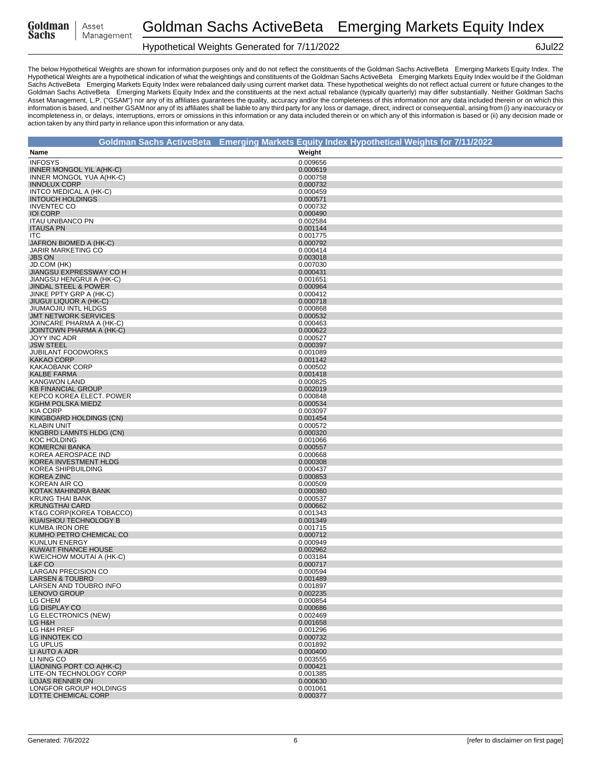| Goldman |  |
|---------|--|
| Sachs   |  |

#### Hypothetical Weights Generated for 7/11/2022 6Jul22

|                                                            | Goldman Sachs ActiveBeta® Emerging Markets Equity Index Hypothetical Weights for 7/11/2022 |
|------------------------------------------------------------|--------------------------------------------------------------------------------------------|
| Name                                                       | Weight                                                                                     |
| <b>INFOSYS</b>                                             | 0.009656                                                                                   |
| INNER MONGOL YIL A(HK-C)                                   | 0.000619                                                                                   |
| INNER MONGOL YUA A(HK-C)                                   | 0.000758                                                                                   |
| <b>INNOLUX CORP</b>                                        | 0.000732                                                                                   |
| INTCO MEDICAL A (HK-C)<br><b>INTOUCH HOLDINGS</b>          | 0.000459<br>0.000571                                                                       |
| <b>INVENTEC CO</b>                                         | 0.000732                                                                                   |
| <b>IOI CORP</b>                                            | 0.000490                                                                                   |
| <b>ITAU UNIBANCO PN</b>                                    | 0.002584                                                                                   |
| <b>ITAUSA PN</b>                                           | 0.001144                                                                                   |
| <b>ITC</b>                                                 | 0.001775                                                                                   |
| JAFRON BIOMED A (HK-C)<br><b>JARIR MARKETING CO</b>        | 0.000792<br>0.000414                                                                       |
| <b>JBS ON</b>                                              | 0.003018                                                                                   |
| JD.COM (HK)                                                | 0.007030                                                                                   |
| JIANGSU EXPRESSWAY CO H                                    | 0.000431                                                                                   |
| JIANGSU HENGRUI A (HK-C)                                   | 0.001651                                                                                   |
| <b>JINDAL STEEL &amp; POWER</b><br>JINKE PPTY GRP A (HK-C) | 0.000964<br>0.000412                                                                       |
| <b>JIUGUI LIQUOR A (HK-C)</b>                              | 0.000718                                                                                   |
| <b>JIUMAOJIU INTL HLDGS</b>                                | 0.000868                                                                                   |
| <b>JMT NETWORK SERVICES</b>                                | 0.000532                                                                                   |
| JOINCARE PHARMA A (HK-C)                                   | 0.000463                                                                                   |
| JOINTOWN PHARMA A (HK-C)                                   | 0.000622<br>0.000527                                                                       |
| <b>JOYY INC ADR</b><br><b>JSW STEEL</b>                    | 0.000397                                                                                   |
| <b>JUBILANT FOODWORKS</b>                                  | 0.001089                                                                                   |
| <b>KAKAO CORP</b>                                          | 0.001142                                                                                   |
| <b>KAKAOBANK CORP</b>                                      | 0.000502                                                                                   |
| <b>KALBE FARMA</b>                                         | 0.001418                                                                                   |
| <b>KANGWON LAND</b><br><b>KB FINANCIAL GROUP</b>           | 0.000825<br>0.002019                                                                       |
| KEPCO KOREA ELECT. POWER                                   | 0.000848                                                                                   |
| KGHM POLSKA MIEDZ                                          | 0.000534                                                                                   |
| <b>KIA CORP</b>                                            | 0.003097                                                                                   |
| KINGBOARD HOLDINGS (CN)                                    | 0.001454                                                                                   |
| <b>KLABIN UNIT</b><br>KNGBRD LAMNTS HLDG (CN)              | 0.000572<br>0.000320                                                                       |
| <b>KOC HOLDING</b>                                         | 0.001066                                                                                   |
| <b>KOMERCNI BANKA</b>                                      | 0.000557                                                                                   |
| KOREA AEROSPACE IND                                        | 0.000668                                                                                   |
| KOREA INVESTMENT HLDG                                      | 0.000308                                                                                   |
| KOREA SHIPBUILDING<br><b>KOREA ZINC</b>                    | 0.000437<br>0.000853                                                                       |
| KOREAN AIR CO                                              | 0.000509                                                                                   |
| KOTAK MAHINDRA BANK                                        | 0.000360                                                                                   |
| <b>KRUNG THAI BANK</b>                                     | 0.000537                                                                                   |
| <b>KRUNGTHAI CARD</b>                                      | 0.000662                                                                                   |
| KT&G CORP(KOREA TOBACCO)<br>KUAISHOU TECHNOLOGY B          | 0.001343<br>0.001349                                                                       |
| KUMBA IRON ORE                                             | 0.001715                                                                                   |
| KUMHO PETRO CHEMICAL CO                                    | 0.000712                                                                                   |
| <b>KUNLUN ENERGY</b>                                       | 0.000949                                                                                   |
| <b>KUWAIT FINANCE HOUSE</b>                                | 0.002962                                                                                   |
| KWEICHOW MOUTAI A (HK-C)<br>L&F CO                         | 0.003184                                                                                   |
| <b>LARGAN PRECISION CO</b>                                 | 0.000717<br>0.000594                                                                       |
| <b>LARSEN &amp; TOUBRO</b>                                 | 0.001489                                                                                   |
| LARSEN AND TOUBRO INFO                                     | 0.001897                                                                                   |
| <b>LENOVO GROUP</b>                                        | 0.002235                                                                                   |
| LG CHEM<br>LG DISPLAY CO                                   | 0.000854<br>0.000686                                                                       |
| LG ELECTRONICS (NEW)                                       | 0.002469                                                                                   |
| LG H&H                                                     | 0.001658                                                                                   |
| LG H&H PREF                                                | 0.001296                                                                                   |
| LG INNOTEK CO                                              | 0.000732                                                                                   |
| LG UPLUS<br>LI AUTO A ADR                                  | 0.001892                                                                                   |
| LI NING CO                                                 | 0.000400<br>0.003555                                                                       |
| LIAONING PORT CO A(HK-C)                                   | 0.000421                                                                                   |
| LITE-ON TECHNOLOGY CORP                                    | 0.001385                                                                                   |
| LOJAS RENNER ON                                            | 0.000630                                                                                   |
| LONGFOR GROUP HOLDINGS                                     | 0.001061                                                                                   |
| LOTTE CHEMICAL CORP                                        | 0.000377                                                                                   |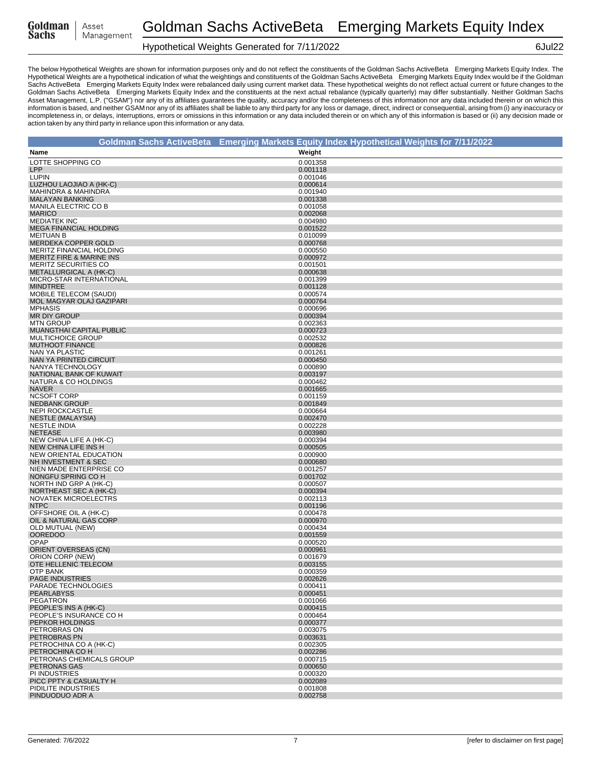| Goldman |  |
|---------|--|
| Sachs   |  |

# Hypothetical Weights Generated for 7/11/2022 6Jul22

|                                                           |                      | Goldman Sachs ActiveBeta® Emerging Markets Equity Index Hypothetical Weights for 7/11/2022 |
|-----------------------------------------------------------|----------------------|--------------------------------------------------------------------------------------------|
| Name                                                      | Weight               |                                                                                            |
| LOTTE SHOPPING CO                                         | 0.001358             |                                                                                            |
| <b>LPP</b>                                                | 0.001118             |                                                                                            |
| <b>LUPIN</b>                                              | 0.001046             |                                                                                            |
| LUZHOU LAOJIAO A (HK-C)                                   | 0.000614             |                                                                                            |
| <b>MAHINDRA &amp; MAHINDRA</b>                            | 0.001940             |                                                                                            |
| <b>MALAYAN BANKING</b><br>MANILA ELECTRIC CO B            | 0.001338<br>0.001058 |                                                                                            |
| <b>MARICO</b>                                             | 0.002068             |                                                                                            |
| <b>MEDIATEK INC</b>                                       | 0.004980             |                                                                                            |
| <b>MEGA FINANCIAL HOLDING</b>                             | 0.001522             |                                                                                            |
| <b>MEITUAN B</b>                                          | 0.010099             |                                                                                            |
| MERDEKA COPPER GOLD<br>MERITZ FINANCIAL HOLDING           | 0.000768<br>0.000550 |                                                                                            |
| <b>MERITZ FIRE &amp; MARINE INS</b>                       | 0.000972             |                                                                                            |
| MERITZ SECURITIES CO                                      | 0.001501             |                                                                                            |
| <b>METALLURGICAL A (HK-C)</b>                             | 0.000638             |                                                                                            |
| MICRO-STAR INTERNATIONAL                                  | 0.001399             |                                                                                            |
| <b>MINDTREE</b>                                           | 0.001128             |                                                                                            |
| <b>MOBILE TELECOM (SAUDI)</b><br>MOL MAGYAR OLAJ GAZIPARI | 0.000574<br>0.000764 |                                                                                            |
| <b>MPHASIS</b>                                            | 0.000696             |                                                                                            |
| <b>MR DIY GROUP</b>                                       | 0.000394             |                                                                                            |
| <b>MTN GROUP</b>                                          | 0.002363             |                                                                                            |
| MUANGTHAI CAPITAL PUBLIC                                  | 0.000723             |                                                                                            |
| MULTICHOICE GROUP<br><b>MUTHOOT FINANCE</b>               | 0.002532<br>0.000826 |                                                                                            |
| NAN YA PLASTIC                                            | 0.001261             |                                                                                            |
| NAN YA PRINTED CIRCUIT                                    | 0.000450             |                                                                                            |
| NANYA TECHNOLOGY                                          | 0.000890             |                                                                                            |
| NATIONAL BANK OF KUWAIT                                   | 0.003197             |                                                                                            |
| NATURA & CO HOLDINGS                                      | 0.000462             |                                                                                            |
| <b>NAVER</b><br><b>NCSOFT CORP</b>                        | 0.001665<br>0.001159 |                                                                                            |
| <b>NEDBANK GROUP</b>                                      | 0.001849             |                                                                                            |
| <b>NEPI ROCKCASTLE</b>                                    | 0.000664             |                                                                                            |
| <b>NESTLE (MALAYSIA)</b>                                  | 0.002470             |                                                                                            |
| <b>NESTLE INDIA</b>                                       | 0.002228             |                                                                                            |
| <b>NETEASE</b><br>NEW CHINA LIFE A (HK-C)                 | 0.003980<br>0.000394 |                                                                                            |
| NEW CHINA LIFE INS H                                      | 0.000505             |                                                                                            |
| NEW ORIENTAL EDUCATION                                    | 0.000900             |                                                                                            |
| NH INVESTMENT & SEC                                       | 0.000680             |                                                                                            |
| NIEN MADE ENTERPRISE CO                                   | 0.001257             |                                                                                            |
| NONGFU SPRING CO H<br>NORTH IND GRP A (HK-C)              | 0.001702<br>0.000507 |                                                                                            |
| NORTHEAST SEC A (HK-C)                                    | 0.000394             |                                                                                            |
| NOVATEK MICROELECTRS                                      | 0.002113             |                                                                                            |
| <b>NTPC</b>                                               | 0.001196             |                                                                                            |
| OFFSHORE OIL A (HK-C)                                     | 0.000478             |                                                                                            |
| OIL & NATURAL GAS CORP<br>OLD MUTUAL (NEW)                | 0.000970<br>0.000434 |                                                                                            |
| <b>OOREDOO</b>                                            | 0.001559             |                                                                                            |
| OPAP                                                      | 0.000520             |                                                                                            |
| <b>ORIENT OVERSEAS (CN)</b>                               | 0.000961             |                                                                                            |
| ORION CORP (NEW)                                          | 0.001679             |                                                                                            |
| OTE HELLENIC TELECOM<br>OTP BANK                          | 0.003155<br>0.000359 |                                                                                            |
| <b>PAGE INDUSTRIES</b>                                    | 0.002626             |                                                                                            |
| PARADE TECHNOLOGIES                                       | 0.000411             |                                                                                            |
| <b>PEARLABYSS</b>                                         | 0.000451             |                                                                                            |
| <b>PEGATRON</b>                                           | 0.001066             |                                                                                            |
| PEOPLE'S INS A (HK-C)<br>PEOPLE'S INSURANCE CO H          | 0.000415<br>0.000464 |                                                                                            |
| PEPKOR HOLDINGS                                           | 0.000377             |                                                                                            |
| PETROBRAS ON                                              | 0.003075             |                                                                                            |
| PETROBRAS PN                                              | 0.003631             |                                                                                            |
| PETROCHINA CO A (HK-C)                                    | 0.002305             |                                                                                            |
| PETROCHINA CO H                                           | 0.002286             |                                                                                            |
| PETRONAS CHEMICALS GROUP<br>PETRONAS GAS                  | 0.000715<br>0.000650 |                                                                                            |
| PI INDUSTRIES                                             | 0.000320             |                                                                                            |
| PICC PPTY & CASUALTY H                                    | 0.002089             |                                                                                            |
| PIDILITE INDUSTRIES                                       | 0.001808             |                                                                                            |
| PINDUODUO ADR A                                           | 0.002758             |                                                                                            |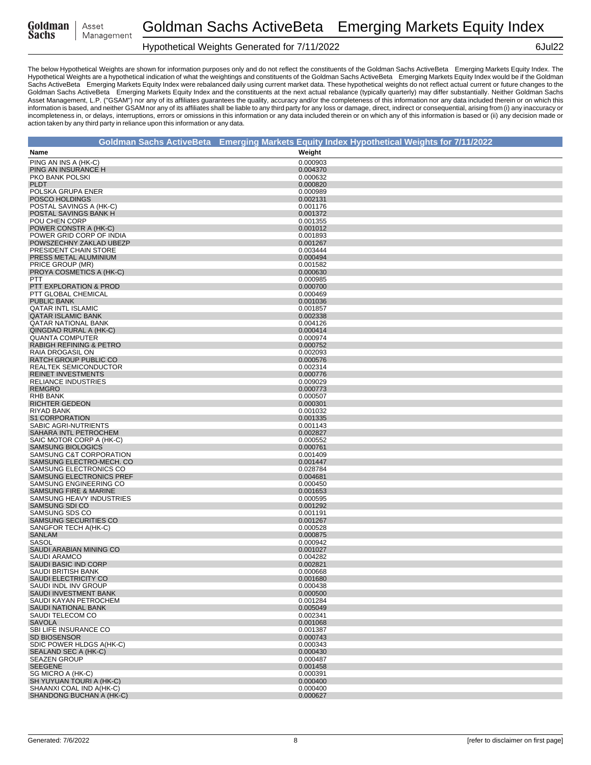| Goldman |  |
|---------|--|
| Sachs   |  |

# Hypothetical Weights Generated for 7/11/2022 6Jul22

|                                                         | Goldman Sachs ActiveBeta® Emerging Markets Equity Index Hypothetical Weights for 7/11/2022 |
|---------------------------------------------------------|--------------------------------------------------------------------------------------------|
| Name                                                    | Weight                                                                                     |
| PING AN INS A (HK-C)                                    | 0.000903                                                                                   |
| PING AN INSURANCE H                                     | 0.004370                                                                                   |
| PKO BANK POLSKI                                         | 0.000632                                                                                   |
| <b>PLDT</b>                                             | 0.000820                                                                                   |
| POLSKA GRUPA ENER<br>POSCO HOLDINGS                     | 0.000989<br>0.002131                                                                       |
| POSTAL SAVINGS A (HK-C)                                 | 0.001176                                                                                   |
| POSTAL SAVINGS BANK H                                   | 0.001372                                                                                   |
| POU CHEN CORP                                           | 0.001355                                                                                   |
| POWER CONSTR A (HK-C)                                   | 0.001012                                                                                   |
| POWER GRID CORP OF INDIA<br>POWSZECHNY ZAKLAD UBEZP     | 0.001893                                                                                   |
| PRESIDENT CHAIN STORE                                   | 0.001267<br>0.003444                                                                       |
| PRESS METAL ALUMINIUM                                   | 0.000494                                                                                   |
| PRICE GROUP (MR)                                        | 0.001582                                                                                   |
| PROYA COSMETICS A (HK-C)                                | 0.000630                                                                                   |
| PTT                                                     | 0.000985                                                                                   |
| PTT EXPLORATION & PROD<br>PTT GLOBAL CHEMICAL           | 0.000700<br>0.000469                                                                       |
| <b>PUBLIC BANK</b>                                      | 0.001036                                                                                   |
| <b>QATAR INTL ISLAMIC</b>                               | 0.001857                                                                                   |
| <b>QATAR ISLAMIC BANK</b>                               | 0.002338                                                                                   |
| <b>QATAR NATIONAL BANK</b>                              | 0.004126                                                                                   |
| QINGDAO RURAL A (HK-C)<br><b>QUANTA COMPUTER</b>        | 0.000414<br>0.000974                                                                       |
| <b>RABIGH REFINING &amp; PETRO</b>                      | 0.000752                                                                                   |
| RAIA DROGASIL ON                                        | 0.002093                                                                                   |
| RATCH GROUP PUBLIC CO                                   | 0.000576                                                                                   |
| <b>REALTEK SEMICONDUCTOR</b>                            | 0.002314                                                                                   |
| <b>REINET INVESTMENTS</b><br><b>RELIANCE INDUSTRIES</b> | 0.000776<br>0.009029                                                                       |
| <b>REMGRO</b>                                           | 0.000773                                                                                   |
| <b>RHB BANK</b>                                         | 0.000507                                                                                   |
| <b>RICHTER GEDEON</b>                                   | 0.000301                                                                                   |
| RIYAD BANK                                              | 0.001032                                                                                   |
| S1 CORPORATION                                          | 0.001335                                                                                   |
| SABIC AGRI-NUTRIENTS<br>SAHARA INTL PETROCHEM           | 0.001143<br>0.002827                                                                       |
| SAIC MOTOR CORP A (HK-C)                                | 0.000552                                                                                   |
| <b>SAMSUNG BIOLOGICS</b>                                | 0.000761                                                                                   |
| SAMSUNG C&T CORPORATION                                 | 0.001409                                                                                   |
| SAMSUNG ELECTRO-MECH. CO                                | 0.001447                                                                                   |
| SAMSUNG ELECTRONICS CO<br>SAMSUNG ELECTRONICS PREF      | 0.028784<br>0.004681                                                                       |
| SAMSUNG ENGINEERING CO                                  | 0.000450                                                                                   |
| SAMSUNG FIRE & MARINE                                   | 0.001653                                                                                   |
| SAMSUNG HEAVY INDUSTRIES                                | 0.000595                                                                                   |
| SAMSUNG SDI CO                                          | 0.001292                                                                                   |
| SAMSUNG SDS CO<br>SAMSUNG SECURITIES CO                 | 0.001191<br>0.001267                                                                       |
| SANGFOR TECH A(HK-C)                                    | 0.000528                                                                                   |
| <b>SANLAM</b>                                           | 0.000875                                                                                   |
| SASOL                                                   | 0.000942                                                                                   |
| SAUDI ARABIAN MINING CO                                 | 0.001027                                                                                   |
| <b>SAUDI ARAMCO</b><br>SAUDI BASIC IND CORP             | 0.004282<br>0.002821                                                                       |
| SAUDI BRITISH BANK                                      | 0.000668                                                                                   |
| SAUDI ELECTRICITY CO                                    | 0.001680                                                                                   |
| SAUDI INDL INV GROUP                                    | 0.000438                                                                                   |
| SAUDI INVESTMENT BANK<br>SAUDI KAYAN PETROCHEM          | 0.000500<br>0.001284                                                                       |
| SAUDI NATIONAL BANK                                     | 0.005049                                                                                   |
| SAUDI TELECOM CO                                        | 0.002341                                                                                   |
| <b>SAVOLA</b>                                           | 0.001068                                                                                   |
| SBI LIFE INSURANCE CO                                   | 0.001387                                                                                   |
| <b>SD BIOSENSOR</b>                                     | 0.000743                                                                                   |
| SDIC POWER HLDGS A(HK-C)<br>SEALAND SEC A (HK-C)        | 0.000343<br>0.000430                                                                       |
| <b>SEAZEN GROUP</b>                                     | 0.000487                                                                                   |
| <b>SEEGENE</b>                                          | 0.001458                                                                                   |
| SG MICRO A (HK-C)                                       | 0.000391                                                                                   |
| SH YUYUAN TOURI A (HK-C)                                | 0.000400                                                                                   |
| SHAANXI COAL IND A(HK-C)<br>SHANDONG BUCHAN A (HK-C)    | 0.000400<br>0.000627                                                                       |
|                                                         |                                                                                            |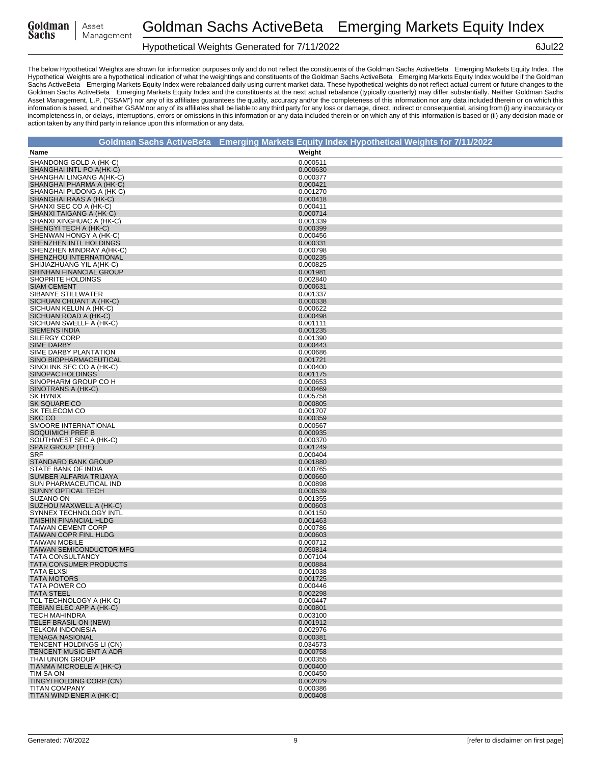| Goldman |  |
|---------|--|
| Sachs   |  |

# Hypothetical Weights Generated for 7/11/2022 6Jul22

| Goldman Sachs ActiveBeta® Emerging Markets Equity Index Hypothetical Weights for 7/11/2022 |                      |
|--------------------------------------------------------------------------------------------|----------------------|
| Name                                                                                       | Weight               |
| SHANDONG GOLD A (HK-C)                                                                     | 0.000511             |
| SHANGHAI INTL PO A(HK-C)                                                                   | 0.000630             |
| SHANGHAI LINGANG A(HK-C)                                                                   | 0.000377             |
| SHANGHAI PHARMA A (HK-C)<br>SHANGHAI PUDONG A (HK-C)                                       | 0.000421<br>0.001270 |
| SHANGHAI RAAS A (HK-C)                                                                     | 0.000418             |
| SHANXI SEC CO A (HK-C)                                                                     | 0.000411             |
| SHANXI TAIGANG A (HK-C)                                                                    | 0.000714             |
| SHANXI XINGHUAC A (HK-C)<br>SHENGYI TECH A (HK-C)                                          | 0.001339             |
| SHENWAN HONGY A (HK-C)                                                                     | 0.000399<br>0.000456 |
| SHENZHEN INTL HOLDINGS                                                                     | 0.000331             |
| SHENZHEN MINDRAY A(HK-C)                                                                   | 0.000798             |
| SHENZHOU INTERNATIONAL                                                                     | 0.000235             |
| SHIJIAZHUANG YIL A(HK-C)<br>SHINHAN FINANCIAL GROUP                                        | 0.000825<br>0.001981 |
| SHOPRITE HOLDINGS                                                                          | 0.002840             |
| <b>SIAM CEMENT</b>                                                                         | 0.000631             |
| SIBANYE STILLWATER                                                                         | 0.001337             |
| SICHUAN CHUANT A (HK-C)<br>SICHUAN KELUN A (HK-C)                                          | 0.000338<br>0.000622 |
| SICHUAN ROAD A (HK-C)                                                                      | 0.000498             |
| SICHUAN SWELLF A (HK-C)                                                                    | 0.001111             |
| <b>SIEMENS INDIA</b>                                                                       | 0.001235             |
| <b>SILERGY CORP</b>                                                                        | 0.001390             |
| <b>SIME DARBY</b><br>SIME DARBY PLANTATION                                                 | 0.000443<br>0.000686 |
| SINO BIOPHARMACEUTICAL                                                                     | 0.001721             |
| SINOLINK SEC CO A (HK-C)                                                                   | 0.000400             |
| <b>SINOPAC HOLDINGS</b>                                                                    | 0.001175             |
| SINOPHARM GROUP CO H<br>SINOTRANS A (HK-C)                                                 | 0.000653<br>0.000469 |
| <b>SK HYNIX</b>                                                                            | 0.005758             |
| SK SQUARE CO                                                                               | 0.000805             |
| SK TELECOM CO                                                                              | 0.001707             |
| SKC CO                                                                                     | 0.000359             |
| SMOORE INTERNATIONAL<br><b>SOQUIMICH PREF B</b>                                            | 0.000567<br>0.000935 |
| SOUTHWEST SEC A (HK-C)                                                                     | 0.000370             |
| SPAR GROUP (THE)                                                                           | 0.001249             |
| <b>SRF</b>                                                                                 | 0.000404             |
| STANDARD BANK GROUP<br>STATE BANK OF INDIA                                                 | 0.001880<br>0.000765 |
| SUMBER ALFARIA TRIJAYA                                                                     | 0.000660             |
| SUN PHARMACEUTICAL IND                                                                     | 0.000898             |
| SUNNY OPTICAL TECH                                                                         | 0.000539             |
| SUZANO ON<br>SUZHOU MAXWELL A (HK-C)                                                       | 0.001355<br>0.000603 |
| SYNNEX TECHNOLOGY INTL                                                                     | 0.001150             |
| <b>TAISHIN FINANCIAL HLDG</b>                                                              | 0.001463             |
| <b>TAIWAN CEMENT CORP</b>                                                                  | 0.000786             |
| TAIWAN COPR FINL HLDG                                                                      | 0.000603             |
| <b>TAIWAN MOBILE</b><br><b>TAIWAN SEMICONDUCTOR MFG</b>                                    | 0.000712<br>0.050814 |
| <b>TATA CONSULTANCY</b>                                                                    | 0.007104             |
| TATA CONSUMER PRODUCTS                                                                     | 0.000884             |
| <b>TATA ELXSI</b>                                                                          | 0.001038             |
| <b>TATA MOTORS</b><br>TATA POWER CO                                                        | 0.001725<br>0.000446 |
| <b>TATA STEEL</b>                                                                          | 0.002298             |
| TCL TECHNOLOGY A (HK-C)                                                                    | 0.000447             |
| TEBIAN ELEC APP A (HK-C)                                                                   | 0.000801             |
| <b>TECH MAHINDRA</b><br>TELEF BRASIL ON (NEW)                                              | 0.003100<br>0.001912 |
| <b>TELKOM INDONESIA</b>                                                                    | 0.002976             |
| <b>TENAGA NASIONAL</b>                                                                     | 0.000381             |
| TENCENT HOLDINGS LI (CN)                                                                   | 0.034573             |
| TENCENT MUSIC ENT A ADR<br>THAI UNION GROUP                                                | 0.000758             |
| TIANMA MICROELE A (HK-C)                                                                   | 0.000355<br>0.000400 |
| TIM SA ON                                                                                  | 0.000450             |
| TINGYI HOLDING CORP (CN)                                                                   | 0.002029             |
| <b>TITAN COMPANY</b>                                                                       | 0.000386             |
| TITAN WIND ENER A (HK-C)                                                                   | 0.000408             |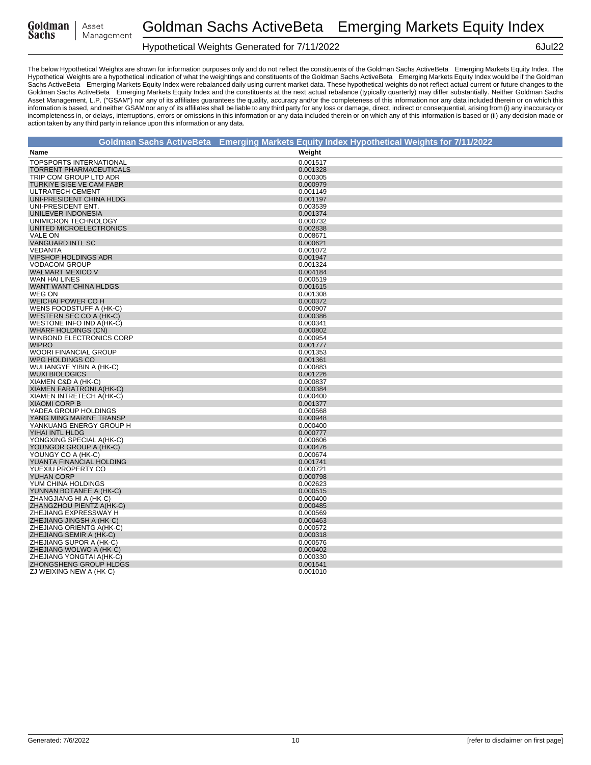| Goldman | Asset      |
|---------|------------|
| Sachs   | Management |

# Hypothetical Weights Generated for 7/11/2022 6Jul22

|                                                        | Goldman Sachs ActiveBeta® Emerging Markets Equity Index Hypothetical Weights for 7/11/2022 |
|--------------------------------------------------------|--------------------------------------------------------------------------------------------|
| Name                                                   | Weight                                                                                     |
| <b>TOPSPORTS INTERNATIONAL</b>                         | 0.001517                                                                                   |
| <b>TORRENT PHARMACEUTICALS</b>                         | 0.001328                                                                                   |
| TRIP COM GROUP LTD ADR                                 | 0.000305                                                                                   |
| TURKIYE SISE VE CAM FABR                               | 0.000979                                                                                   |
| ULTRATECH CEMENT                                       | 0.001149                                                                                   |
| UNI-PRESIDENT CHINA HLDG                               | 0.001197                                                                                   |
| UNI-PRESIDENT ENT.                                     | 0.003539                                                                                   |
| UNILEVER INDONESIA                                     | 0.001374                                                                                   |
| UNIMICRON TECHNOLOGY                                   | 0.000732                                                                                   |
| UNITED MICROELECTRONICS                                | 0.002838                                                                                   |
| <b>VALE ON</b>                                         | 0.008671                                                                                   |
| <b>VANGUARD INTL SC</b>                                | 0.000621                                                                                   |
| <b>VEDANTA</b>                                         | 0.001072                                                                                   |
| VIPSHOP HOLDINGS ADR                                   | 0.001947                                                                                   |
| <b>VODACOM GROUP</b>                                   | 0.001324                                                                                   |
| <b>WALMART MEXICO V</b>                                | 0.004184                                                                                   |
| WAN HAI LINES                                          | 0.000519                                                                                   |
| WANT WANT CHINA HLDGS                                  | 0.001615                                                                                   |
| WEG ON                                                 | 0.001308                                                                                   |
| <b>WEICHAI POWER CO H</b>                              | 0.000372                                                                                   |
| WENS FOODSTUFF A (HK-C)                                | 0.000907                                                                                   |
| WESTERN SEC CO A (HK-C)                                | 0.000386                                                                                   |
|                                                        |                                                                                            |
| WESTONE INFO IND A(HK-C)                               | 0.000341<br>0.000802                                                                       |
| <b>WHARF HOLDINGS (CN)</b><br>WINBOND ELECTRONICS CORP | 0.000954                                                                                   |
| <b>WIPRO</b>                                           | 0.001777                                                                                   |
| WOORI FINANCIAL GROUP                                  | 0.001353                                                                                   |
|                                                        |                                                                                            |
| WPG HOLDINGS CO                                        | 0.001361                                                                                   |
| WULIANGYE YIBIN A (HK-C)                               | 0.000883<br>0.001226                                                                       |
| <b>WUXI BIOLOGICS</b>                                  | 0.000837                                                                                   |
| XIAMEN C&D A (HK-C)                                    | 0.000384                                                                                   |
| XIAMEN FARATRONI A(HK-C)                               |                                                                                            |
| XIAMEN INTRETECH A(HK-C)                               | 0.000400                                                                                   |
| <b>XIAOMI CORP B</b><br>YADEA GROUP HOLDINGS           | 0.001377<br>0.000568                                                                       |
| YANG MING MARINE TRANSP                                | 0.000948                                                                                   |
| YANKUANG ENERGY GROUP H                                | 0.000400                                                                                   |
| YIHAI INTL HLDG                                        |                                                                                            |
|                                                        | 0.000777                                                                                   |
| YONGXING SPECIAL A(HK-C)                               | 0.000606                                                                                   |
| YOUNGOR GROUP A (HK-C)                                 | 0.000476<br>0.000674                                                                       |
| YOUNGY CO A (HK-C)<br>YUANTA FINANCIAL HOLDING         | 0.001741                                                                                   |
| YUEXIU PROPERTY CO                                     |                                                                                            |
| YUHAN CORP                                             | 0.000721<br>0.000798                                                                       |
| YUM CHINA HOLDINGS                                     | 0.002623                                                                                   |
| YUNNAN BOTANEE A (HK-C)                                | 0.000515                                                                                   |
| ZHANGJIANG HI A (HK-C)                                 | 0.000400                                                                                   |
|                                                        |                                                                                            |
| ZHANGZHOU PIENTZ A(HK-C)                               | 0.000485                                                                                   |
| ZHEJIANG EXPRESSWAY H<br>ZHEJIANG JINGSH A (HK-C)      | 0.000569<br>0.000463                                                                       |
| ZHEJIANG ORIENTG A(HK-C)                               | 0.000572                                                                                   |
| ZHEJIANG SEMIR A (HK-C)                                |                                                                                            |
|                                                        | 0.000318                                                                                   |
| ZHEJIANG SUPOR A (HK-C)                                | 0.000576                                                                                   |
| ZHEJIANG WOLWO A (HK-C)                                | 0.000402                                                                                   |
| ZHEJIANG YONGTAI A(HK-C)                               | 0.000330                                                                                   |
| ZHONGSHENG GROUP HLDGS                                 | 0.001541<br>0.001010                                                                       |
| ZJ WEIXING NEW A (HK-C)                                |                                                                                            |